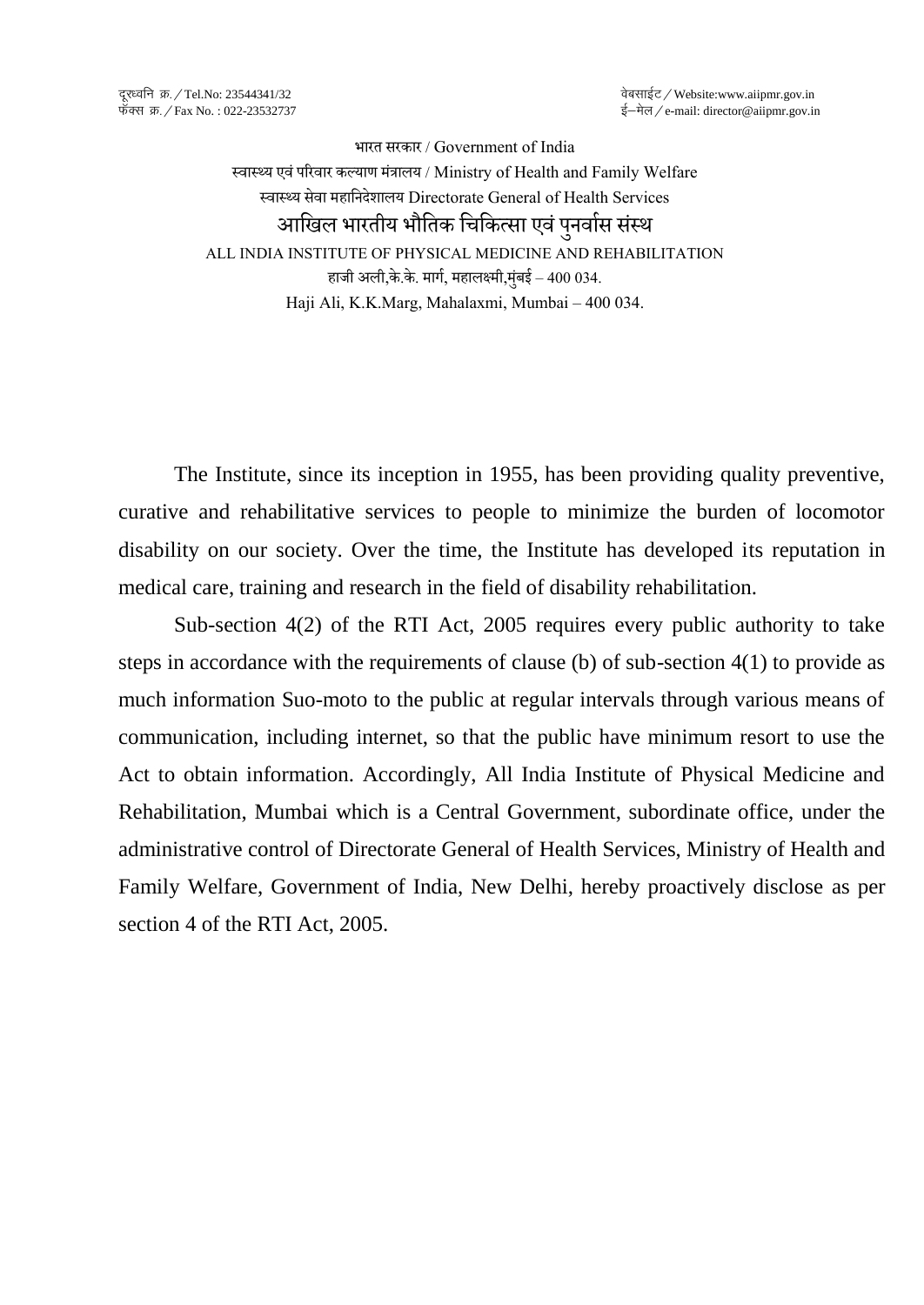भारत सरकार / Government of India स्वास्थ्य एवं परिवार कल्याण मंत्रालय / Ministry of Health and Family Welfare स्वास््य सेवा महानिदेशालय Directorate General of Health Services आखिल भारतीय भौतिक चिकित्सा एवं पनर्वास संस्थ ALL INDIA INSTITUTE OF PHYSICAL MEDICINE AND REHABILITATION हाजी अली,के .के . मार्ा, महालक्ष्मी,मंबुई – 400 034. Haji Ali, K.K.Marg, Mahalaxmi, Mumbai – 400 034.

The Institute, since its inception in 1955, has been providing quality preventive, curative and rehabilitative services to people to minimize the burden of locomotor disability on our society. Over the time, the Institute has developed its reputation in medical care, training and research in the field of disability rehabilitation.

Sub-section 4(2) of the RTI Act, 2005 requires every public authority to take steps in accordance with the requirements of clause (b) of sub-section 4(1) to provide as much information Suo-moto to the public at regular intervals through various means of communication, including internet, so that the public have minimum resort to use the Act to obtain information. Accordingly, All India Institute of Physical Medicine and Rehabilitation, Mumbai which is a Central Government, subordinate office, under the administrative control of Directorate General of Health Services, Ministry of Health and Family Welfare, Government of India, New Delhi, hereby proactively disclose as per section 4 of the RTI Act, 2005.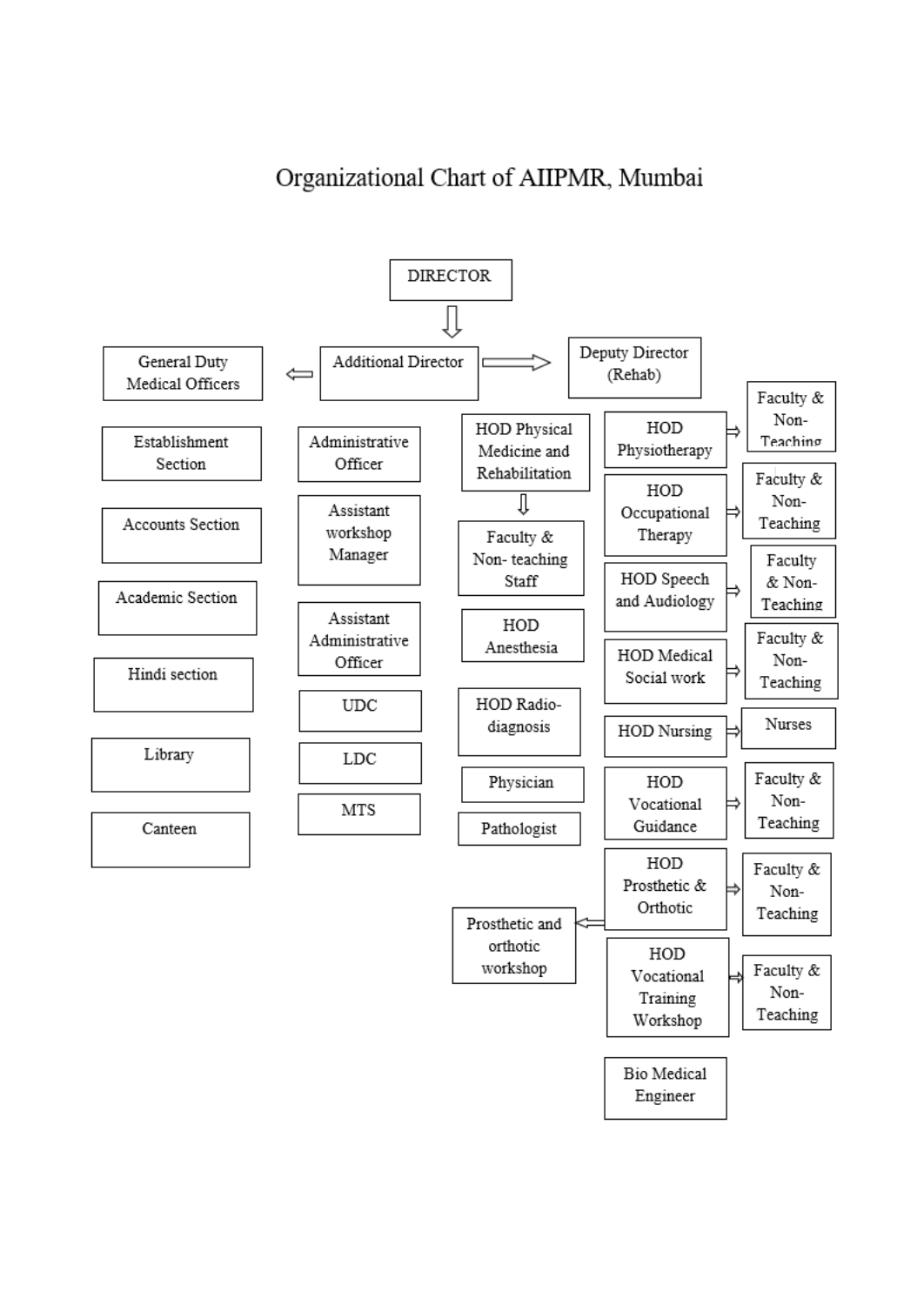## Organizational Chart of AIIPMR, Mumbai

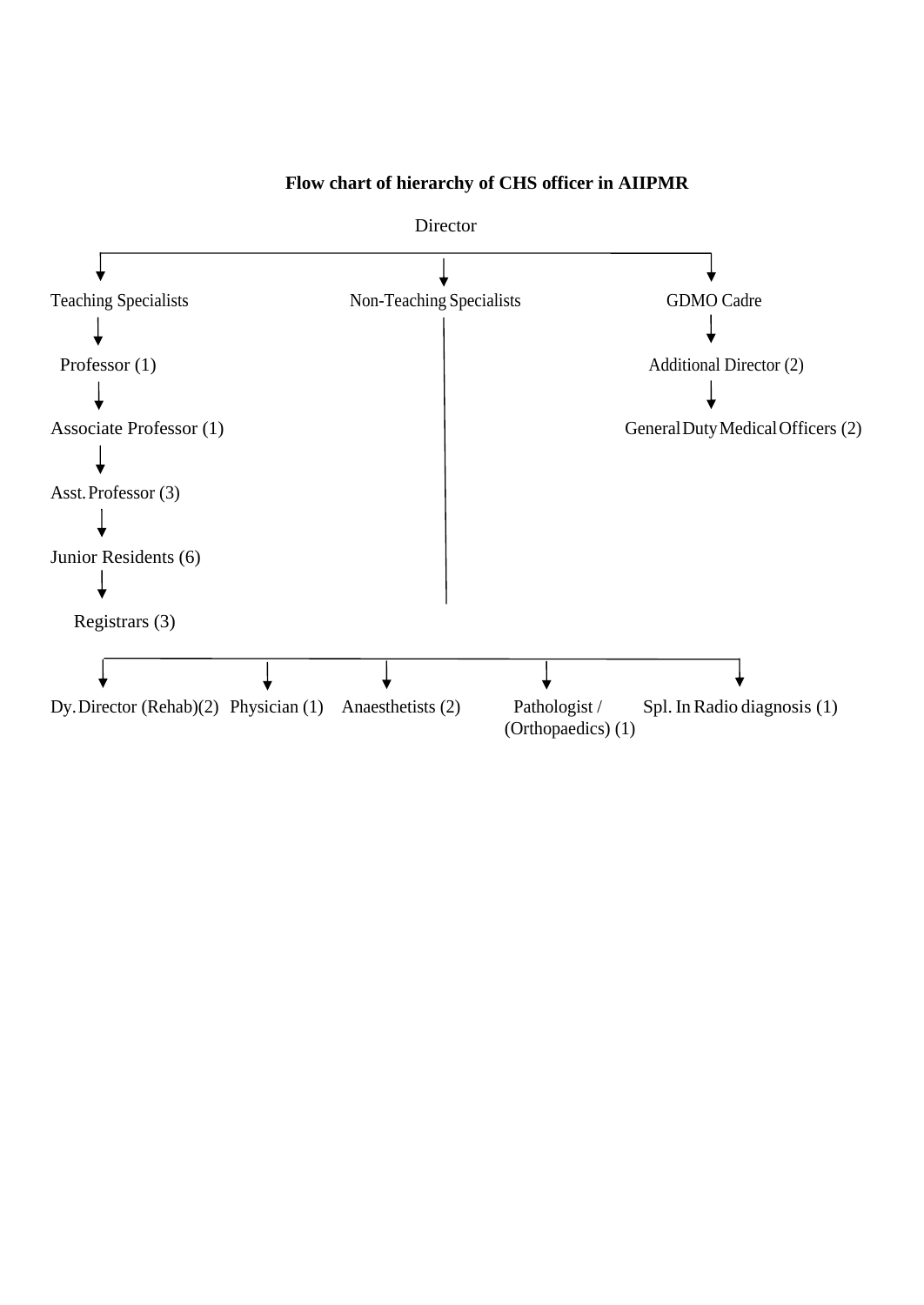

## **Flow chart of hierarchy of CHS officer in AIIPMR**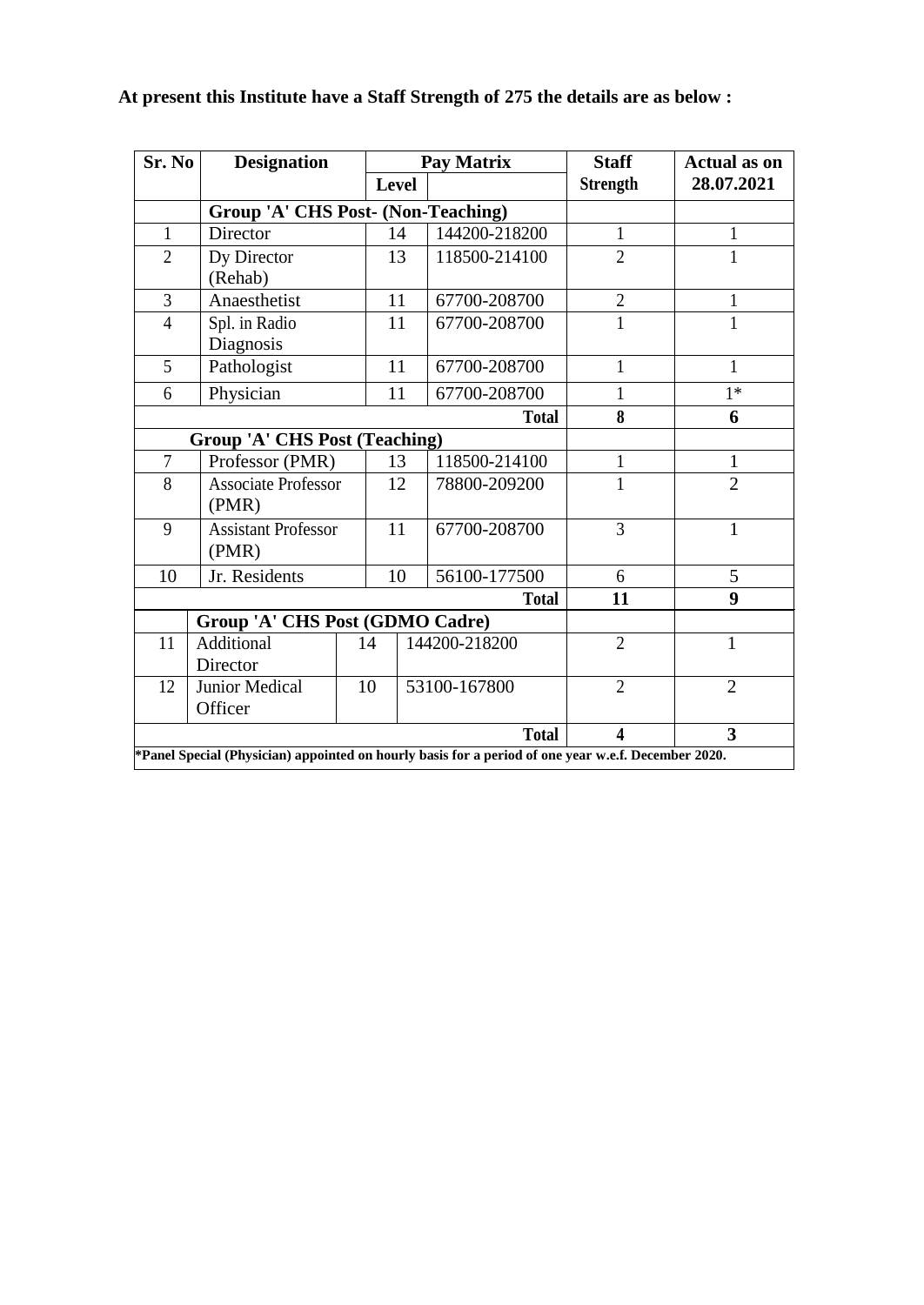| Sr. No                                                                                              | <b>Designation</b>                                                   | <b>Pay Matrix</b> |              | <b>Staff</b>  | <b>Actual as on</b> |                |
|-----------------------------------------------------------------------------------------------------|----------------------------------------------------------------------|-------------------|--------------|---------------|---------------------|----------------|
|                                                                                                     |                                                                      | <b>Level</b>      |              |               | <b>Strength</b>     | 28.07.2021     |
|                                                                                                     | <b>Group 'A' CHS Post- (Non-Teaching)</b>                            |                   |              |               |                     |                |
| $\mathbf{1}$                                                                                        | Director                                                             | 14                |              | 144200-218200 | $\mathbf{1}$        | 1              |
| $\overline{2}$                                                                                      | Dy Director                                                          | 13                |              | 118500-214100 | $\overline{2}$      | 1              |
|                                                                                                     | (Rehab)                                                              |                   |              |               |                     |                |
| $\overline{3}$                                                                                      | Anaesthetist                                                         | 11                |              | 67700-208700  | $\overline{2}$      | 1              |
| $\overline{4}$                                                                                      | Spl. in Radio                                                        | 11                |              | 67700-208700  | 1                   |                |
|                                                                                                     | Diagnosis                                                            |                   |              |               |                     |                |
| 5                                                                                                   | Pathologist                                                          | 11                |              | 67700-208700  | $\mathbf{1}$        | $\mathbf{1}$   |
| 6                                                                                                   | Physician                                                            | 11                |              | 67700-208700  | 1                   | $1*$           |
|                                                                                                     | <b>Total</b>                                                         |                   |              |               |                     | 6              |
|                                                                                                     | <b>Group 'A' CHS Post (Teaching)</b>                                 |                   |              |               |                     |                |
| $\overline{7}$                                                                                      | Professor (PMR)                                                      |                   | 13           | 118500-214100 | $\mathbf{1}$        | $\mathbf{1}$   |
| 8                                                                                                   | <b>Associate Professor</b>                                           | 12                |              | 78800-209200  | 1                   | $\overline{2}$ |
|                                                                                                     |                                                                      | (PMR)             |              |               |                     |                |
| 9                                                                                                   | <b>Assistant Professor</b><br>(PMR)                                  | 11                |              | 67700-208700  | 3                   | $\mathbf{1}$   |
| 10                                                                                                  | Jr. Residents                                                        | 10                |              | 56100-177500  | 6                   | 5              |
|                                                                                                     |                                                                      |                   |              | <b>Total</b>  | 11                  | 9              |
|                                                                                                     |                                                                      |                   |              |               |                     |                |
| 11                                                                                                  | Group 'A' CHS Post (GDMO Cadre)<br>Additional<br>14<br>144200-218200 |                   |              |               | $\overline{2}$      | $\mathbf{1}$   |
|                                                                                                     | Director                                                             |                   |              |               |                     |                |
| 12                                                                                                  | Junior Medical                                                       | 10                | 53100-167800 |               | $\overline{2}$      | $\overline{2}$ |
|                                                                                                     | Officer                                                              |                   |              |               |                     |                |
| <b>Total</b><br>$\overline{\mathbf{4}}$<br>$\overline{\mathbf{3}}$                                  |                                                                      |                   |              |               |                     |                |
| *Panel Special (Physician) appointed on hourly basis for a period of one year w.e.f. December 2020. |                                                                      |                   |              |               |                     |                |

## **At present this Institute have a Staff Strength of 275 the details are as below :**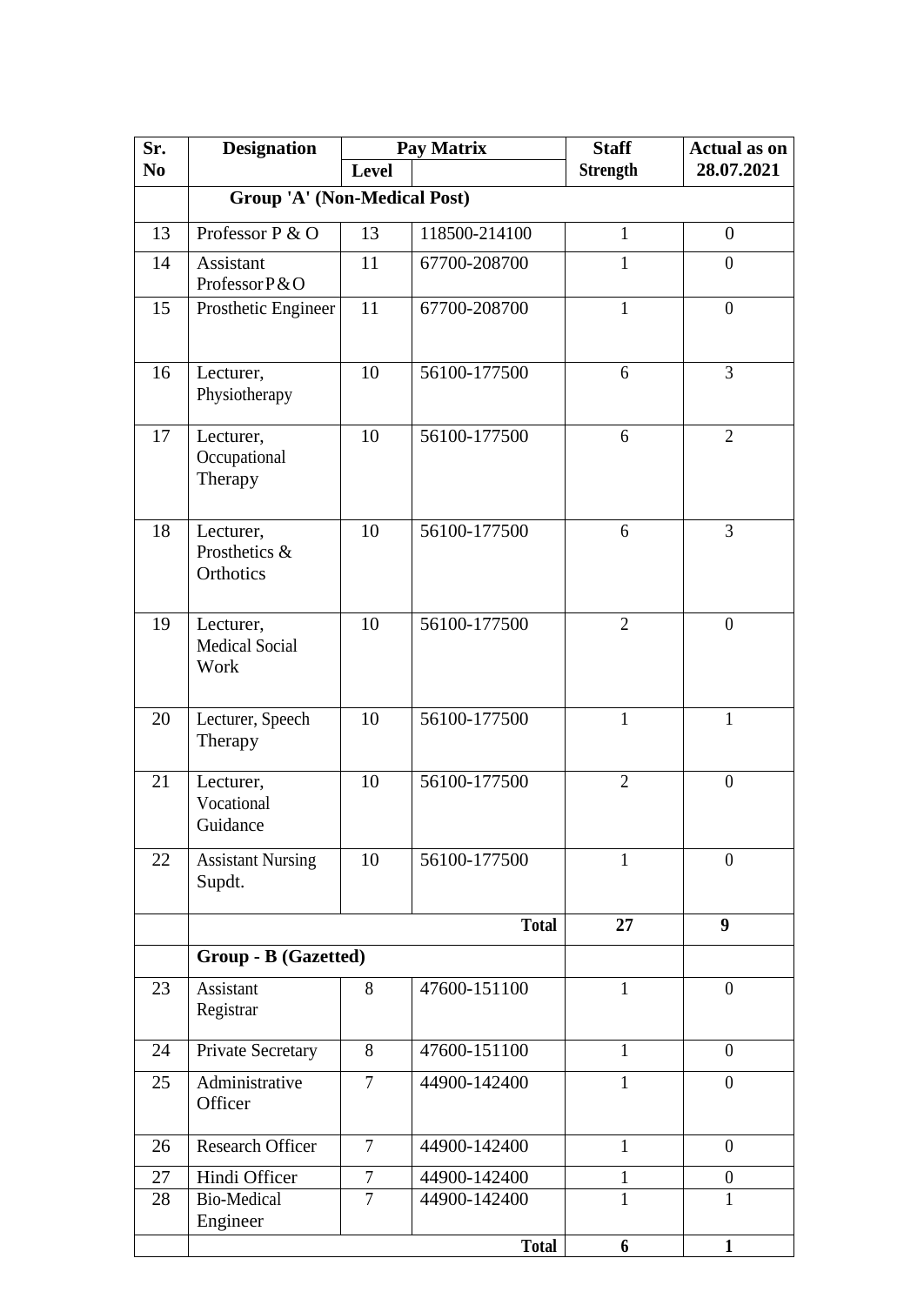| Sr.            | <b>Designation</b>                         | <b>Pay Matrix</b> |               | <b>Staff</b>    | <b>Actual as on</b> |  |  |  |
|----------------|--------------------------------------------|-------------------|---------------|-----------------|---------------------|--|--|--|
| N <sub>0</sub> |                                            | Level             |               | <b>Strength</b> | 28.07.2021          |  |  |  |
|                | <b>Group 'A' (Non-Medical Post)</b>        |                   |               |                 |                     |  |  |  |
| 13             | Professor P & O                            | 13                | 118500-214100 | $\mathbf{1}$    | $\overline{0}$      |  |  |  |
| 14             | Assistant<br>Professor P & O               | 11                | 67700-208700  | $\mathbf{1}$    | $\overline{0}$      |  |  |  |
| 15             | Prosthetic Engineer                        | 11                | 67700-208700  | $\mathbf{1}$    | $\boldsymbol{0}$    |  |  |  |
| 16             | Lecturer,<br>Physiotherapy                 | 10                | 56100-177500  | 6               | 3                   |  |  |  |
| 17             | Lecturer,<br>Occupational<br>Therapy       | 10                | 56100-177500  | 6               | $\overline{2}$      |  |  |  |
| 18             | Lecturer,<br>Prosthetics &<br>Orthotics    | 10                | 56100-177500  | 6               | 3                   |  |  |  |
| 19             | Lecturer,<br><b>Medical Social</b><br>Work | 10                | 56100-177500  | $\overline{2}$  | $\overline{0}$      |  |  |  |
| 20             | Lecturer, Speech<br>Therapy                | 10                | 56100-177500  | $\mathbf{1}$    | 1                   |  |  |  |
| 21             | Lecturer,<br>Vocational<br>Guidance        | 10                | 56100-177500  | $\overline{2}$  | $\boldsymbol{0}$    |  |  |  |
| 22             | <b>Assistant Nursing</b><br>Supdt.         | 10                | 56100-177500  | $\mathbf{1}$    | $\overline{0}$      |  |  |  |
|                |                                            |                   | <b>Total</b>  | 27              | 9                   |  |  |  |
|                | Group - B (Gazetted)                       |                   |               |                 |                     |  |  |  |
| 23             | Assistant<br>Registrar                     | 8                 | 47600-151100  | $\mathbf{1}$    | $\overline{0}$      |  |  |  |
| 24             | Private Secretary                          | 8                 | 47600-151100  | $\mathbf{1}$    | $\overline{0}$      |  |  |  |
| 25             | Administrative<br>Officer                  | $\overline{7}$    | 44900-142400  | $\mathbf{1}$    | $\theta$            |  |  |  |
| 26             | <b>Research Officer</b>                    | $\overline{7}$    | 44900-142400  | $\mathbf{1}$    | $\theta$            |  |  |  |
| 27             | Hindi Officer                              | 7                 | 44900-142400  | 1               | $\boldsymbol{0}$    |  |  |  |
| 28             | <b>Bio-Medical</b><br>Engineer             | $\overline{7}$    | 44900-142400  | 1               | 1                   |  |  |  |
|                |                                            |                   | <b>Total</b>  | 6               | $\mathbf{1}$        |  |  |  |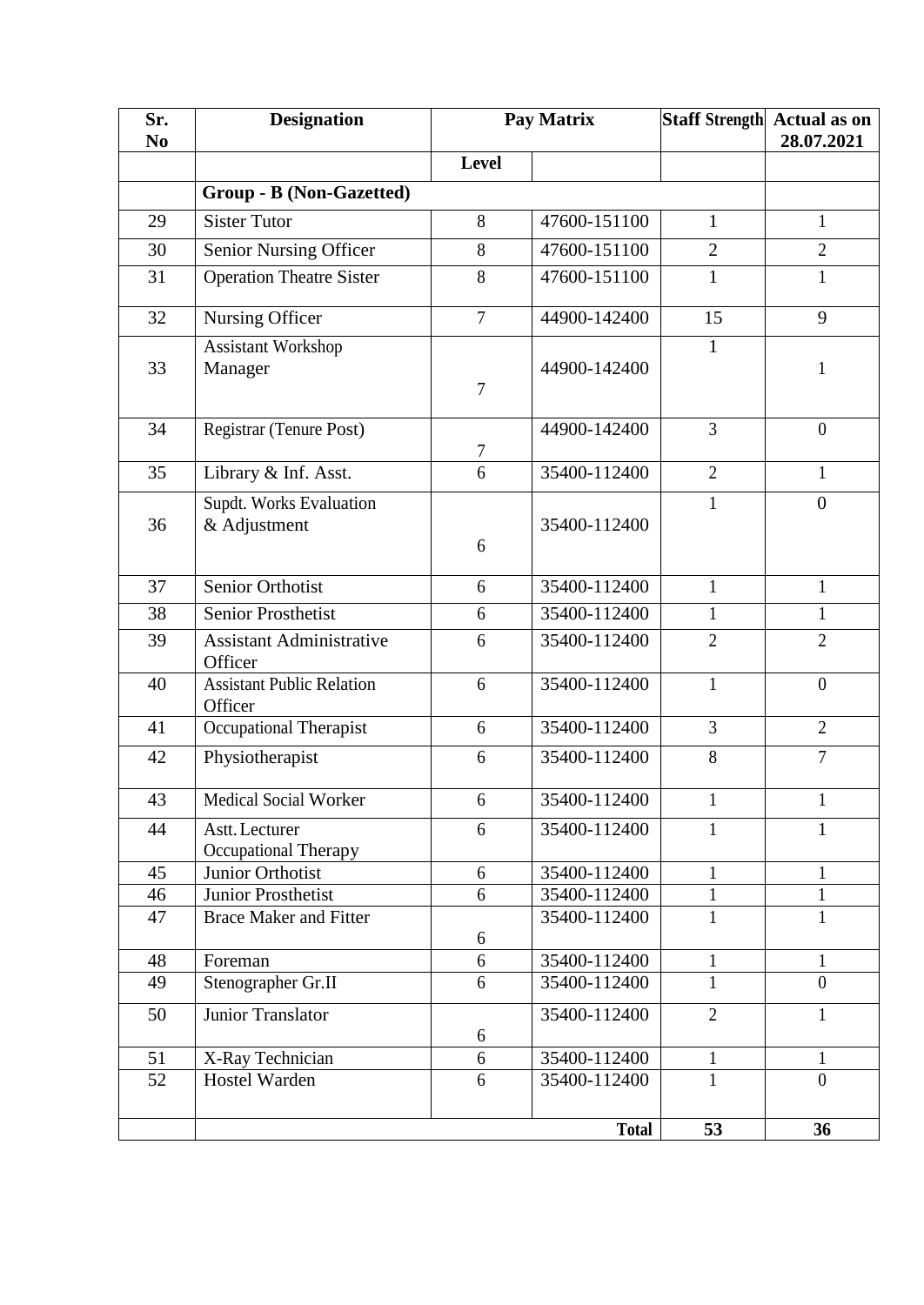| Sr.<br>N <sub>0</sub> | <b>Designation</b>                            | Pay Matrix     |                              |                              | Staff Strength Actual as on<br>28.07.2021 |  |  |
|-----------------------|-----------------------------------------------|----------------|------------------------------|------------------------------|-------------------------------------------|--|--|
|                       |                                               | Level          |                              |                              |                                           |  |  |
|                       | Group - B (Non-Gazetted)                      |                |                              |                              |                                           |  |  |
| 29                    | <b>Sister Tutor</b>                           | 8              | 47600-151100                 | $\mathbf{1}$                 | $\mathbf{1}$                              |  |  |
| 30                    | <b>Senior Nursing Officer</b>                 | 8              | 47600-151100                 | $\overline{2}$               | $\overline{2}$                            |  |  |
| 31                    | <b>Operation Theatre Sister</b>               | 8              | 47600-151100                 | $\mathbf{1}$                 | 1                                         |  |  |
| 32                    | Nursing Officer                               | $\overline{7}$ | 44900-142400                 | 15                           | 9                                         |  |  |
| 33                    | Assistant Workshop<br>Manager                 | $\overline{7}$ | 44900-142400                 | $\mathbf{1}$                 | 1                                         |  |  |
| 34                    | Registrar (Tenure Post)                       | $\tau$         | 44900-142400                 | 3                            | $\overline{0}$                            |  |  |
| 35                    | Library & Inf. Asst.                          | 6              | 35400-112400                 | $\overline{2}$               | 1                                         |  |  |
| 36                    | Supdt. Works Evaluation<br>& Adjustment       | 6              | 35400-112400                 | $\mathbf{1}$                 | $\overline{0}$                            |  |  |
| 37                    | Senior Orthotist                              | 6              | 35400-112400                 | $\mathbf{1}$                 | $\mathbf{1}$                              |  |  |
| 38                    | <b>Senior Prosthetist</b>                     | 6              | 35400-112400                 | $\mathbf{1}$                 | $\mathbf{1}$                              |  |  |
| 39                    | <b>Assistant Administrative</b><br>Officer    | 6              | 35400-112400                 | $\mathfrak{2}$               | $\overline{2}$                            |  |  |
| 40                    | <b>Assistant Public Relation</b><br>Officer   | 6              | 35400-112400                 | $\mathbf{1}$                 | $\boldsymbol{0}$                          |  |  |
| 41                    | Occupational Therapist                        | 6              | 35400-112400                 | 3                            | $\overline{2}$                            |  |  |
| 42                    | Physiotherapist                               | 6              | 35400-112400                 | 8                            | $\overline{7}$                            |  |  |
| 43                    | Medical Social Worker                         | 6              | 35400-112400                 | 1                            | 1                                         |  |  |
| 44                    | Astt. Lecturer<br><b>Occupational Therapy</b> | 6              | 35400-112400                 | $\mathbf{1}$                 | $\overline{1}$                            |  |  |
| 45                    | Junior Orthotist                              | 6              | 35400-112400                 | $\mathbf{1}$                 | 1                                         |  |  |
| 46                    | Junior Prosthetist                            | 6              | 35400-112400                 | $\mathbf{1}$                 | 1                                         |  |  |
| 47                    | <b>Brace Maker and Fitter</b>                 |                | 35400-112400                 | $\mathbf{1}$                 | 1                                         |  |  |
|                       |                                               | 6              |                              |                              |                                           |  |  |
| 48<br>49              | Foreman<br>Stenographer Gr.II                 | 6<br>6         | 35400-112400<br>35400-112400 | $\mathbf{1}$<br>$\mathbf{1}$ | $\mathbf{1}$<br>$\overline{0}$            |  |  |
|                       |                                               |                |                              |                              |                                           |  |  |
| 50                    | Junior Translator                             | 6              | 35400-112400                 | $\overline{2}$               | $\mathbf{1}$                              |  |  |
| 51                    | X-Ray Technician                              | 6              | 35400-112400                 | 1                            | 1                                         |  |  |
| 52                    | <b>Hostel Warden</b>                          | 6              | 35400-112400                 | $\mathbf{1}$                 | $\overline{0}$                            |  |  |
|                       |                                               |                | <b>Total</b>                 | 53                           | 36                                        |  |  |